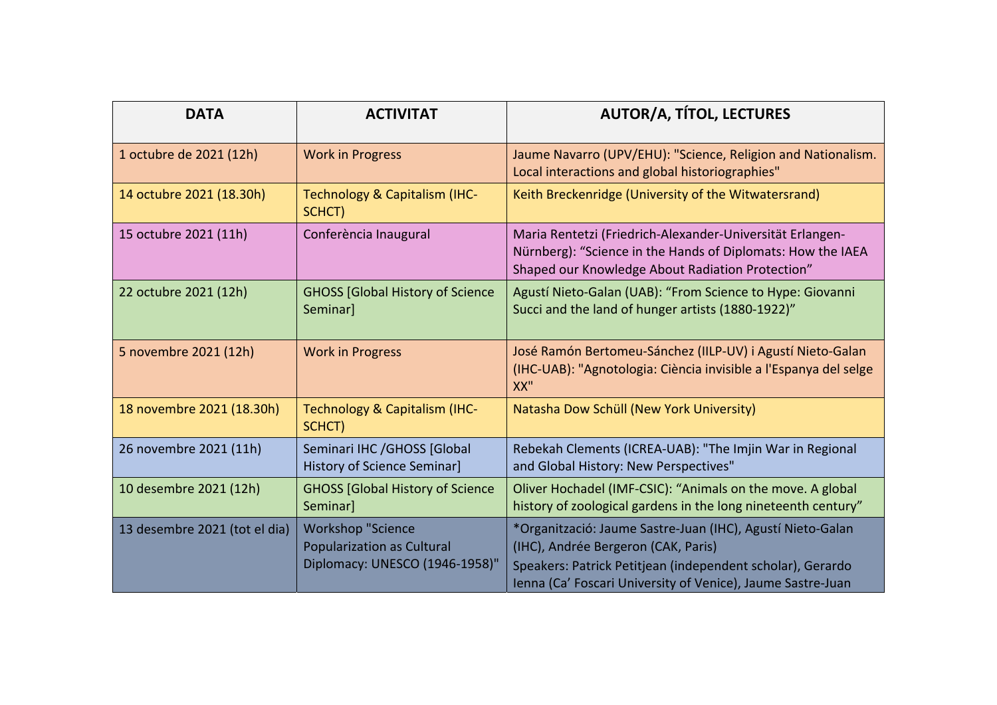| <b>DATA</b>                   | <b>ACTIVITAT</b>                                                                                | <b>AUTOR/A, TÍTOL, LECTURES</b>                                                                                                                                                                                                |
|-------------------------------|-------------------------------------------------------------------------------------------------|--------------------------------------------------------------------------------------------------------------------------------------------------------------------------------------------------------------------------------|
| 1 octubre de 2021 (12h)       | <b>Work in Progress</b>                                                                         | Jaume Navarro (UPV/EHU): "Science, Religion and Nationalism.<br>Local interactions and global historiographies"                                                                                                                |
| 14 octubre 2021 (18.30h)      | <b>Technology &amp; Capitalism (IHC-</b><br>SCHCT)                                              | Keith Breckenridge (University of the Witwatersrand)                                                                                                                                                                           |
| 15 octubre 2021 (11h)         | Conferència Inaugural                                                                           | Maria Rentetzi (Friedrich-Alexander-Universität Erlangen-<br>Nürnberg): "Science in the Hands of Diplomats: How the IAEA<br>Shaped our Knowledge About Radiation Protection"                                                   |
| 22 octubre 2021 (12h)         | <b>GHOSS [Global History of Science</b><br>Seminar]                                             | Agustí Nieto-Galan (UAB): "From Science to Hype: Giovanni<br>Succi and the land of hunger artists (1880-1922)"                                                                                                                 |
| 5 novembre 2021 (12h)         | <b>Work in Progress</b>                                                                         | José Ramón Bertomeu-Sánchez (IILP-UV) i Agustí Nieto-Galan<br>(IHC-UAB): "Agnotologia: Ciència invisible a l'Espanya del selge<br>XX''                                                                                         |
| 18 novembre 2021 (18.30h)     | <b>Technology &amp; Capitalism (IHC-</b><br>SCHCT)                                              | Natasha Dow Schüll (New York University)                                                                                                                                                                                       |
| 26 novembre 2021 (11h)        | Seminari IHC / GHOSS [Global<br><b>History of Science Seminar]</b>                              | Rebekah Clements (ICREA-UAB): "The Imjin War in Regional<br>and Global History: New Perspectives"                                                                                                                              |
| 10 desembre 2021 (12h)        | <b>GHOSS [Global History of Science</b><br>Seminarl                                             | Oliver Hochadel (IMF-CSIC): "Animals on the move. A global<br>history of zoological gardens in the long nineteenth century"                                                                                                    |
| 13 desembre 2021 (tot el dia) | <b>Workshop "Science</b><br><b>Popularization as Cultural</b><br>Diplomacy: UNESCO (1946-1958)" | *Organització: Jaume Sastre-Juan (IHC), Agustí Nieto-Galan<br>(IHC), Andrée Bergeron (CAK, Paris)<br>Speakers: Patrick Petitjean (independent scholar), Gerardo<br>Ienna (Ca' Foscari University of Venice), Jaume Sastre-Juan |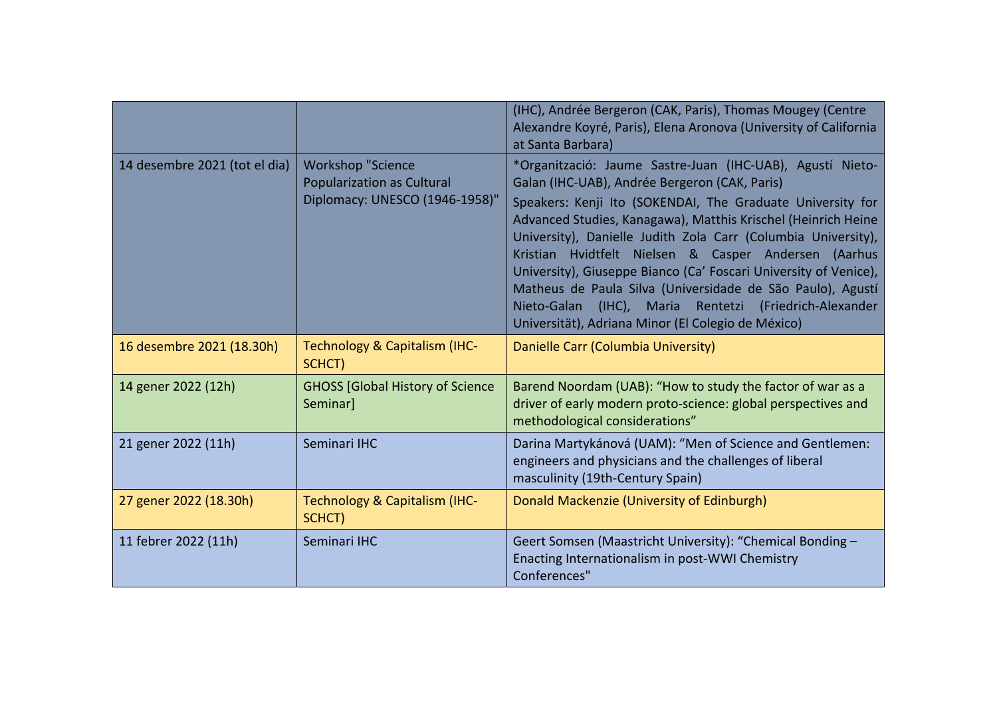|                               |                                                                                                 | (IHC), Andrée Bergeron (CAK, Paris), Thomas Mougey (Centre<br>Alexandre Koyré, Paris), Elena Aronova (University of California<br>at Santa Barbara)                                                                                                                                                                                                                                                                                                                                                                                                                                                                        |
|-------------------------------|-------------------------------------------------------------------------------------------------|----------------------------------------------------------------------------------------------------------------------------------------------------------------------------------------------------------------------------------------------------------------------------------------------------------------------------------------------------------------------------------------------------------------------------------------------------------------------------------------------------------------------------------------------------------------------------------------------------------------------------|
| 14 desembre 2021 (tot el dia) | <b>Workshop "Science</b><br><b>Popularization as Cultural</b><br>Diplomacy: UNESCO (1946-1958)" | *Organització: Jaume Sastre-Juan (IHC-UAB), Agustí Nieto-<br>Galan (IHC-UAB), Andrée Bergeron (CAK, Paris)<br>Speakers: Kenji Ito (SOKENDAI, The Graduate University for<br>Advanced Studies, Kanagawa), Matthis Krischel (Heinrich Heine<br>University), Danielle Judith Zola Carr (Columbia University),<br>Kristian Hvidtfelt Nielsen & Casper Andersen (Aarhus<br>University), Giuseppe Bianco (Ca' Foscari University of Venice),<br>Matheus de Paula Silva (Universidade de São Paulo), Agustí<br>Nieto-Galan (IHC),<br>Maria Rentetzi<br>(Friedrich-Alexander<br>Universität), Adriana Minor (El Colegio de México) |
| 16 desembre 2021 (18.30h)     | Technology & Capitalism (IHC-<br>SCHCT)                                                         | Danielle Carr (Columbia University)                                                                                                                                                                                                                                                                                                                                                                                                                                                                                                                                                                                        |
| 14 gener 2022 (12h)           | <b>GHOSS [Global History of Science</b><br>Seminar]                                             | Barend Noordam (UAB): "How to study the factor of war as a<br>driver of early modern proto-science: global perspectives and<br>methodological considerations"                                                                                                                                                                                                                                                                                                                                                                                                                                                              |
| 21 gener 2022 (11h)           | Seminari IHC                                                                                    | Darina Martykánová (UAM): "Men of Science and Gentlemen:<br>engineers and physicians and the challenges of liberal<br>masculinity (19th-Century Spain)                                                                                                                                                                                                                                                                                                                                                                                                                                                                     |
| 27 gener 2022 (18.30h)        | Technology & Capitalism (IHC-<br>SCHCT)                                                         | Donald Mackenzie (University of Edinburgh)                                                                                                                                                                                                                                                                                                                                                                                                                                                                                                                                                                                 |
| 11 febrer 2022 (11h)          | Seminari IHC                                                                                    | Geert Somsen (Maastricht University): "Chemical Bonding -<br>Enacting Internationalism in post-WWI Chemistry<br>Conferences"                                                                                                                                                                                                                                                                                                                                                                                                                                                                                               |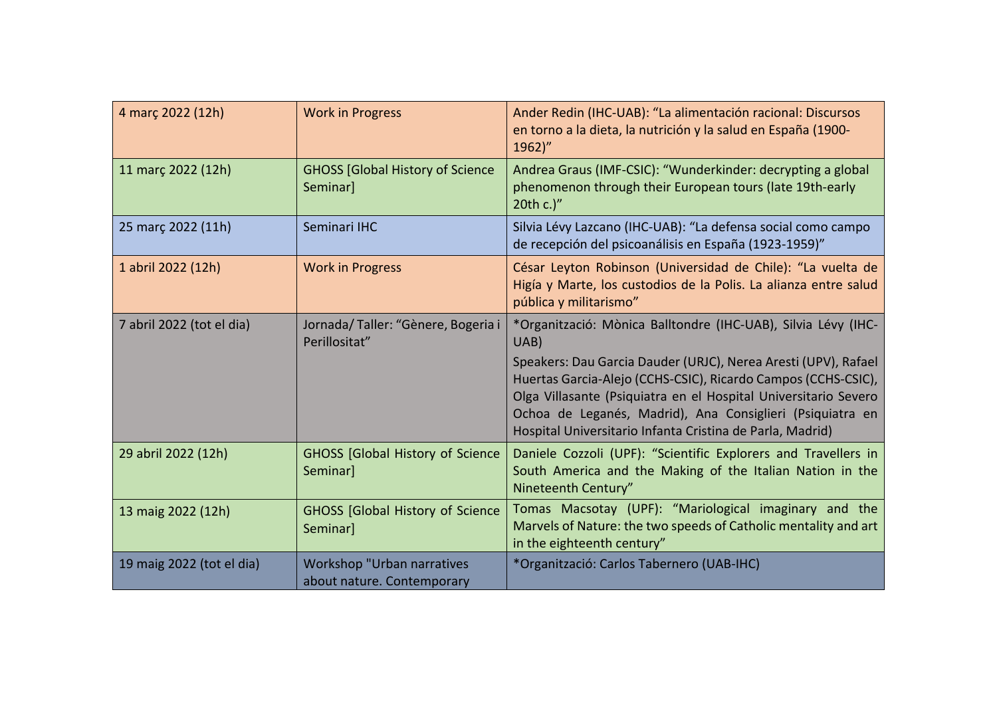| 4 març 2022 (12h)         | <b>Work in Progress</b>                                         | Ander Redin (IHC-UAB): "La alimentación racional: Discursos<br>en torno a la dieta, la nutrición y la salud en España (1900-<br>1962)"                                                                                                                                                                                                                                                                |
|---------------------------|-----------------------------------------------------------------|-------------------------------------------------------------------------------------------------------------------------------------------------------------------------------------------------------------------------------------------------------------------------------------------------------------------------------------------------------------------------------------------------------|
| 11 març 2022 (12h)        | <b>GHOSS [Global History of Science</b><br>Seminar]             | Andrea Graus (IMF-CSIC): "Wunderkinder: decrypting a global<br>phenomenon through their European tours (late 19th-early<br>20th c.)"                                                                                                                                                                                                                                                                  |
| 25 marc 2022 (11h)        | Seminari IHC                                                    | Silvia Lévy Lazcano (IHC-UAB): "La defensa social como campo<br>de recepción del psicoanálisis en España (1923-1959)"                                                                                                                                                                                                                                                                                 |
| 1 abril 2022 (12h)        | <b>Work in Progress</b>                                         | César Leyton Robinson (Universidad de Chile): "La vuelta de<br>Higía y Marte, los custodios de la Polis. La alianza entre salud<br>pública y militarismo"                                                                                                                                                                                                                                             |
| 7 abril 2022 (tot el dia) | Jornada/Taller: "Gènere, Bogeria i<br>Perillositat"             | *Organització: Mònica Balltondre (IHC-UAB), Silvia Lévy (IHC-<br>UAB)<br>Speakers: Dau Garcia Dauder (URJC), Nerea Aresti (UPV), Rafael<br>Huertas Garcia-Alejo (CCHS-CSIC), Ricardo Campos (CCHS-CSIC),<br>Olga Villasante (Psiquiatra en el Hospital Universitario Severo<br>Ochoa de Leganés, Madrid), Ana Consiglieri (Psiquiatra en<br>Hospital Universitario Infanta Cristina de Parla, Madrid) |
| 29 abril 2022 (12h)       | <b>GHOSS [Global History of Science</b><br>Seminar]             | Daniele Cozzoli (UPF): "Scientific Explorers and Travellers in<br>South America and the Making of the Italian Nation in the<br>Nineteenth Century"                                                                                                                                                                                                                                                    |
| 13 maig 2022 (12h)        | <b>GHOSS [Global History of Science</b><br>Seminar]             | Tomas Macsotay (UPF): "Mariological imaginary and the<br>Marvels of Nature: the two speeds of Catholic mentality and art<br>in the eighteenth century"                                                                                                                                                                                                                                                |
| 19 maig 2022 (tot el dia) | <b>Workshop "Urban narratives</b><br>about nature. Contemporary | *Organització: Carlos Tabernero (UAB-IHC)                                                                                                                                                                                                                                                                                                                                                             |